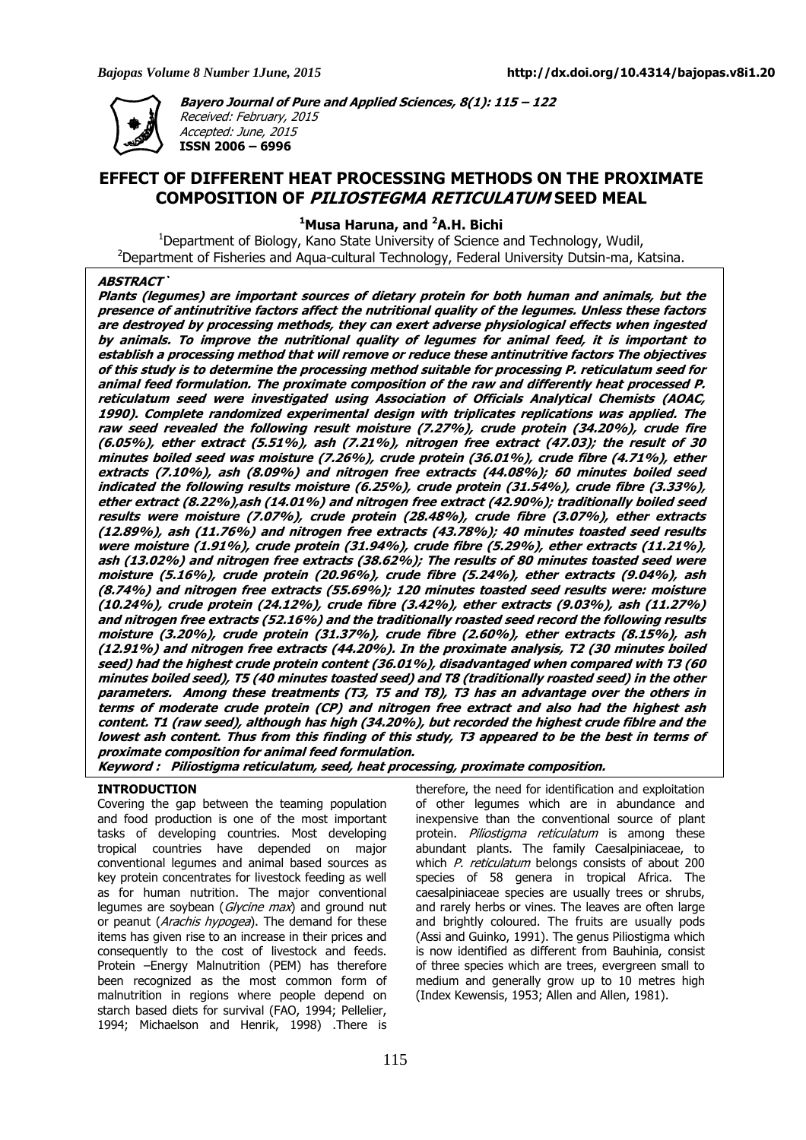

**Bayero Journal of Pure and Applied Sciences, 8(1): 115 – 122** 

Received: February, 2015 Accepted: June, 2015 **ISSN 2006 – 6996** 

# **EFFECT OF DIFFERENT HEAT PROCESSING METHODS ON THE PROXIMATE COMPOSITION OF PILIOSTEGMA RETICULATUM SEED MEAL**

**<sup>1</sup>Musa Haruna, and <sup>2</sup>A.H. Bichi** 

<sup>1</sup>Department of Biology, Kano State University of Science and Technology, Wudil, <sup>2</sup>Department of Fisheries and Aqua-cultural Technology, Federal University Dutsin-ma, Katsina.

# **ABSTRACT`**

**Plants (legumes) are important sources of dietary protein for both human and animals, but the presence of antinutritive factors affect the nutritional quality of the legumes. Unless these factors are destroyed by processing methods, they can exert adverse physiological effects when ingested by animals. To improve the nutritional quality of legumes for animal feed, it is important to establish a processing method that will remove or reduce these antinutritive factors The objectives of this study is to determine the processing method suitable for processing P. reticulatum seed for animal feed formulation. The proximate composition of the raw and differently heat processed P. reticulatum seed were investigated using Association of Officials Analytical Chemists (AOAC, 1990). Complete randomized experimental design with triplicates replications was applied. The raw seed revealed the following result moisture (7.27%), crude protein (34.20%), crude fire (6.05%), ether extract (5.51%), ash (7.21%), nitrogen free extract (47.03); the result of 30 minutes boiled seed was moisture (7.26%), crude protein (36.01%), crude fibre (4.71%), ether extracts (7.10%), ash (8.09%) and nitrogen free extracts (44.08%); 60 minutes boiled seed indicated the following results moisture (6.25%), crude protein (31.54%), crude fibre (3.33%), ether extract (8.22%),ash (14.01%) and nitrogen free extract (42.90%); traditionally boiled seed results were moisture (7.07%), crude protein (28.48%), crude fibre (3.07%), ether extracts (12.89%), ash (11.76%) and nitrogen free extracts (43.78%); 40 minutes toasted seed results were moisture (1.91%), crude protein (31.94%), crude fibre (5.29%), ether extracts (11.21%), ash (13.02%) and nitrogen free extracts (38.62%); The results of 80 minutes toasted seed were moisture (5.16%), crude protein (20.96%), crude fibre (5.24%), ether extracts (9.04%), ash (8.74%) and nitrogen free extracts (55.69%); 120 minutes toasted seed results were: moisture (10.24%), crude protein (24.12%), crude fibre (3.42%), ether extracts (9.03%), ash (11.27%) and nitrogen free extracts (52.16%) and the traditionally roasted seed record the following results moisture (3.20%), crude protein (31.37%), crude fibre (2.60%), ether extracts (8.15%), ash (12.91%) and nitrogen free extracts (44.20%). In the proximate analysis, T2 (30 minutes boiled seed) had the highest crude protein content (36.01%), disadvantaged when compared with T3 (60 minutes boiled seed), T5 (40 minutes toasted seed) and T8 (traditionally roasted seed) in the other parameters. Among these treatments (T3, T5 and T8), T3 has an advantage over the others in terms of moderate crude protein (CP) and nitrogen free extract and also had the highest ash content. T1 (raw seed), although has high (34.20%), but recorded the highest crude fiblre and the lowest ash content. Thus from this finding of this study, T3 appeared to be the best in terms of proximate composition for animal feed formulation.** 

**Keyword : Piliostigma reticulatum, seed, heat processing, proximate composition.** 

# **INTRODUCTION**

Covering the gap between the teaming population and food production is one of the most important tasks of developing countries. Most developing tropical countries have depended on major conventional legumes and animal based sources as key protein concentrates for livestock feeding as well as for human nutrition. The major conventional legumes are soybean (Glycine max) and ground nut or peanut (Arachis hypogea). The demand for these items has given rise to an increase in their prices and consequently to the cost of livestock and feeds. Protein –Energy Malnutrition (PEM) has therefore been recognized as the most common form of malnutrition in regions where people depend on starch based diets for survival (FAO, 1994; Pellelier, 1994; Michaelson and Henrik, 1998) .There is

therefore, the need for identification and exploitation of other legumes which are in abundance and inexpensive than the conventional source of plant protein. Piliostigma reticulatum is among these abundant plants. The family Caesalpiniaceae, to which P. reticulatum belongs consists of about 200 species of 58 genera in tropical Africa. The caesalpiniaceae species are usually trees or shrubs, and rarely herbs or vines. The leaves are often large and brightly coloured. The fruits are usually pods (Assi and Guinko, 1991). The genus Piliostigma which is now identified as different from Bauhinia, consist of three species which are trees, evergreen small to medium and generally grow up to 10 metres high (Index Kewensis, 1953; Allen and Allen, 1981).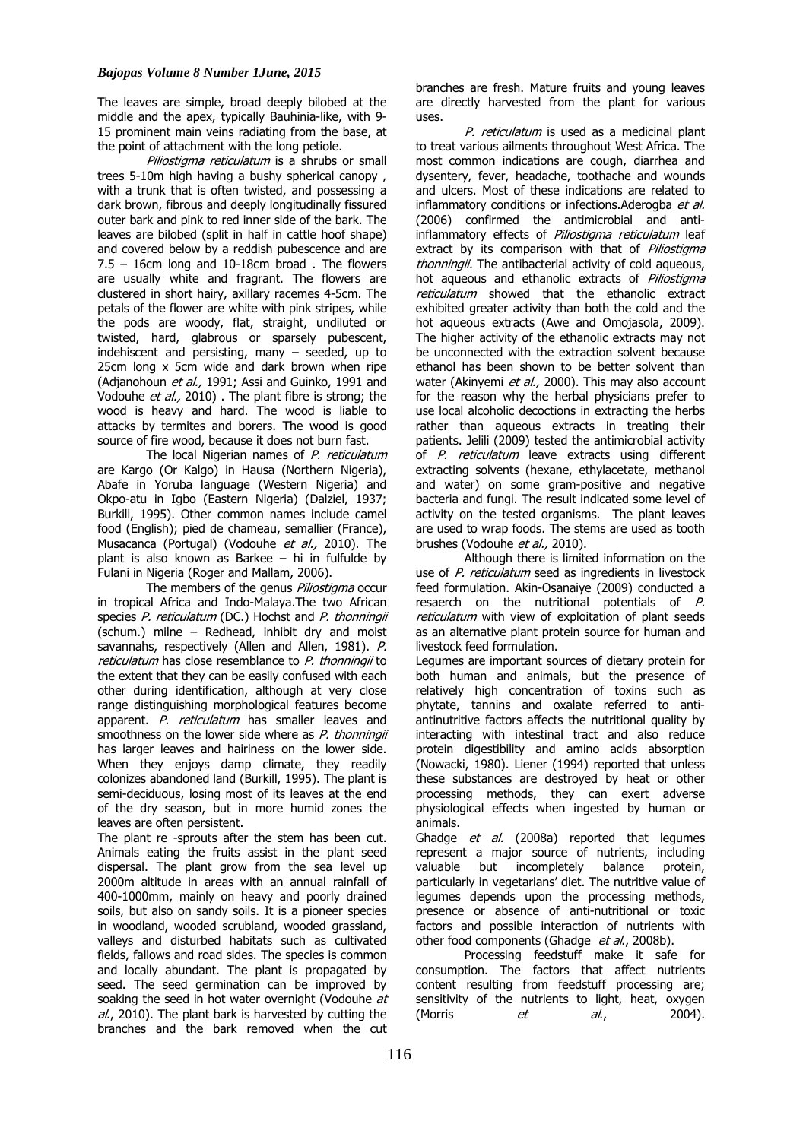The leaves are simple, broad deeply bilobed at the middle and the apex, typically Bauhinia-like, with 9- 15 prominent main veins radiating from the base, at the point of attachment with the long petiole.

Piliostigma reticulatum is a shrubs or small trees 5-10m high having a bushy spherical canopy , with a trunk that is often twisted, and possessing a dark brown, fibrous and deeply longitudinally fissured outer bark and pink to red inner side of the bark. The leaves are bilobed (split in half in cattle hoof shape) and covered below by a reddish pubescence and are 7.5 – 16cm long and 10-18cm broad . The flowers are usually white and fragrant. The flowers are clustered in short hairy, axillary racemes 4-5cm. The petals of the flower are white with pink stripes, while the pods are woody, flat, straight, undiluted or twisted, hard, glabrous or sparsely pubescent, indehiscent and persisting, many – seeded, up to 25cm long x 5cm wide and dark brown when ripe (Adjanohoun et al., 1991; Assi and Guinko, 1991 and Vodouhe et al., 2010) . The plant fibre is strong; the wood is heavy and hard. The wood is liable to attacks by termites and borers. The wood is good source of fire wood, because it does not burn fast.

The local Nigerian names of P. reticulatum are Kargo (Or Kalgo) in Hausa (Northern Nigeria), Abafe in Yoruba language (Western Nigeria) and Okpo-atu in Igbo (Eastern Nigeria) (Dalziel, 1937; Burkill, 1995). Other common names include camel food (English); pied de chameau, semallier (France), Musacanca (Portugal) (Vodouhe et al., 2010). The plant is also known as Barkee  $-$  hi in fulfulde by Fulani in Nigeria (Roger and Mallam, 2006).

The members of the genus *Piliostigma* occur in tropical Africa and Indo-Malaya.The two African species P. reticulatum (DC.) Hochst and P. thonningii (schum.) milne – Redhead, inhibit dry and moist savannahs, respectively (Allen and Allen, 1981). P. reticulatum has close resemblance to P. thonningii to the extent that they can be easily confused with each other during identification, although at very close range distinguishing morphological features become apparent. P. reticulatum has smaller leaves and smoothness on the lower side where as *P. thonningii* has larger leaves and hairiness on the lower side. When they enjoys damp climate, they readily colonizes abandoned land (Burkill, 1995). The plant is semi-deciduous, losing most of its leaves at the end of the dry season, but in more humid zones the leaves are often persistent.

The plant re -sprouts after the stem has been cut. Animals eating the fruits assist in the plant seed dispersal. The plant grow from the sea level up 2000m altitude in areas with an annual rainfall of 400-1000mm, mainly on heavy and poorly drained soils, but also on sandy soils. It is a pioneer species in woodland, wooded scrubland, wooded grassland, valleys and disturbed habitats such as cultivated fields, fallows and road sides. The species is common and locally abundant. The plant is propagated by seed. The seed germination can be improved by soaking the seed in hot water overnight (Vodouhe at  $al.$ , 2010). The plant bark is harvested by cutting the branches and the bark removed when the cut

branches are fresh. Mature fruits and young leaves are directly harvested from the plant for various uses.

P. reticulatum is used as a medicinal plant to treat various ailments throughout West Africa. The most common indications are cough, diarrhea and dysentery, fever, headache, toothache and wounds and ulcers. Most of these indications are related to inflammatory conditions or infections. Aderogba et al. (2006) confirmed the antimicrobial and antiinflammatory effects of Piliostigma reticulatum leaf extract by its comparison with that of Piliostigma thonningii. The antibacterial activity of cold aqueous, hot aqueous and ethanolic extracts of *Piliostigma* reticulatum showed that the ethanolic extract exhibited greater activity than both the cold and the hot aqueous extracts (Awe and Omojasola, 2009). The higher activity of the ethanolic extracts may not be unconnected with the extraction solvent because ethanol has been shown to be better solvent than water (Akinyemi et al., 2000). This may also account for the reason why the herbal physicians prefer to use local alcoholic decoctions in extracting the herbs rather than aqueous extracts in treating their patients. Jelili (2009) tested the antimicrobial activity of P. reticulatum leave extracts using different extracting solvents (hexane, ethylacetate, methanol and water) on some gram-positive and negative bacteria and fungi. The result indicated some level of activity on the tested organisms. The plant leaves are used to wrap foods. The stems are used as tooth brushes (Vodouhe *et al.*, 2010).

Although there is limited information on the use of P. reticulatum seed as ingredients in livestock feed formulation. Akin-Osanaiye (2009) conducted a resaerch on the nutritional potentials of P. reticulatum with view of exploitation of plant seeds as an alternative plant protein source for human and livestock feed formulation.

Legumes are important sources of dietary protein for both human and animals, but the presence of relatively high concentration of toxins such as phytate, tannins and oxalate referred to antiantinutritive factors affects the nutritional quality by interacting with intestinal tract and also reduce protein digestibility and amino acids absorption (Nowacki, 1980). Liener (1994) reported that unless these substances are destroyed by heat or other processing methods, they can exert adverse physiological effects when ingested by human or animals.

Ghadge et al. (2008a) reported that legumes represent a major source of nutrients, including valuable but incompletely balance protein, particularly in vegetarians' diet. The nutritive value of legumes depends upon the processing methods, presence or absence of anti-nutritional or toxic factors and possible interaction of nutrients with other food components (Ghadge et al., 2008b).

Processing feedstuff make it safe for consumption. The factors that affect nutrients content resulting from feedstuff processing are; sensitivity of the nutrients to light, heat, oxygen (Morris  $et$  al., 2004).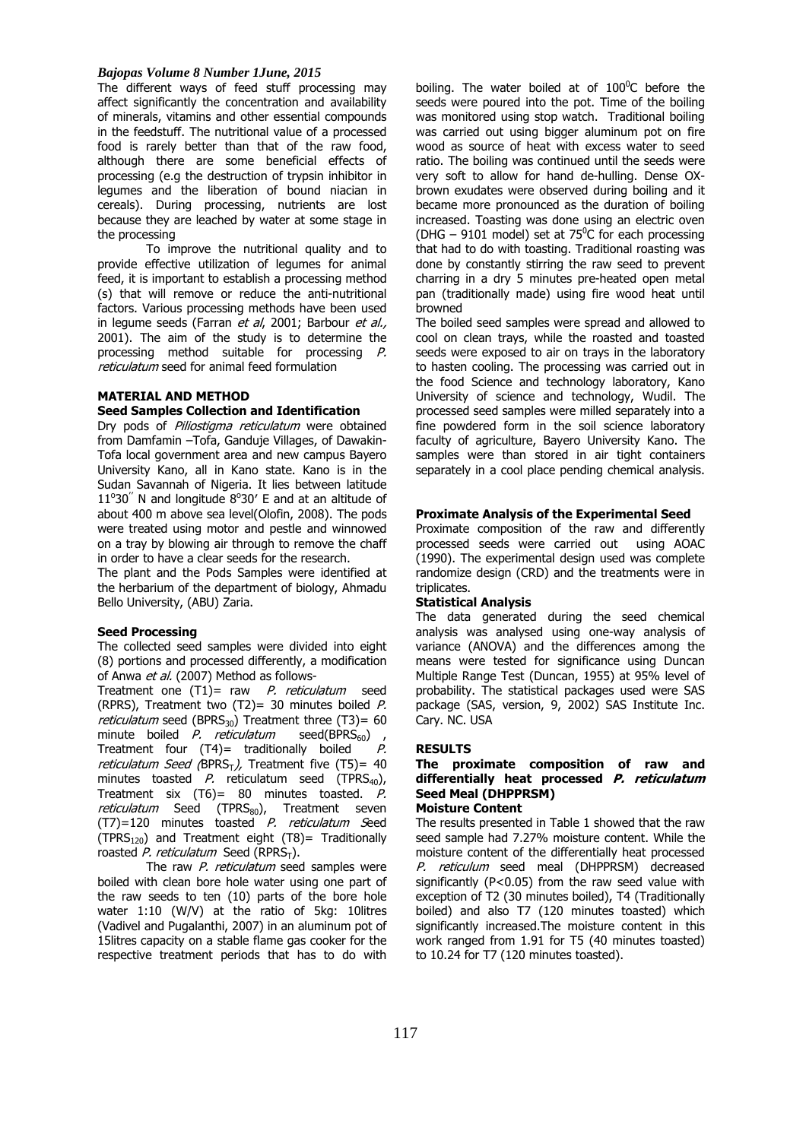### *Bajopas Volume 8 Number 1June, 2015*

The different ways of feed stuff processing may affect significantly the concentration and availability of minerals, vitamins and other essential compounds in the feedstuff. The nutritional value of a processed food is rarely better than that of the raw food, although there are some beneficial effects of processing (e.g the destruction of trypsin inhibitor in legumes and the liberation of bound niacian in cereals). During processing, nutrients are lost because they are leached by water at some stage in the processing

To improve the nutritional quality and to provide effective utilization of legumes for animal feed, it is important to establish a processing method (s) that will remove or reduce the anti-nutritional factors. Various processing methods have been used in legume seeds (Farran *et al.* 2001; Barbour *et al.*, 2001). The aim of the study is to determine the processing method suitable for processing P. reticulatum seed for animal feed formulation

## **MATERIAL AND METHOD**

### **Seed Samples Collection and Identification**

Dry pods of *Piliostiama reticulatum* were obtained from Damfamin –Tofa, Ganduje Villages, of Dawakin-Tofa local government area and new campus Bayero University Kano, all in Kano state. Kano is in the Sudan Savannah of Nigeria. It lies between latitude  $11^{\circ}30^{\circ}$  N and longitude  $8^{\circ}30^{\circ}$  E and at an altitude of about 400 m above sea level(Olofin, 2008). The pods were treated using motor and pestle and winnowed on a tray by blowing air through to remove the chaff in order to have a clear seeds for the research.

The plant and the Pods Samples were identified at the herbarium of the department of biology, Ahmadu Bello University, (ABU) Zaria.

#### **Seed Processing**

The collected seed samples were divided into eight (8) portions and processed differently, a modification of Anwa et al. (2007) Method as follows-

Treatment one  $(T1)$ = raw *P. reticulatum* seed (RPRS), Treatment two (T2)= 30 minutes boiled  $P$ . *reticulatum* seed (BPRS<sub>30</sub>) Treatment three (T3)= 60 minute boiled *P. reticulatum* seed(BPRS<sub>60</sub>), minute boiled  $P$ . reticulatum Treatment four  $(T4)$ = traditionally boiled  $P$ . reticulatum Seed (BPRS<sub>T</sub>), Treatment five (T5)= 40 minutes toasted  $P$ . reticulatum seed (TPRS<sub>40</sub>), Treatment six (T6)= 80 minutes toasted. P.  $reticulatum$  Seed (TPRS $_{80}$ ), Treatment seven (T7)=120 minutes toasted P. reticulatum Seed (TPRS<sub>120</sub>) and Treatment eight (T8)= Traditionally roasted P. reticulatum Seed (RPRS<sub>T</sub>).

The raw P. reticulatum seed samples were boiled with clean bore hole water using one part of the raw seeds to ten (10) parts of the bore hole water 1:10 (W/V) at the ratio of 5kg: 10litres (Vadivel and Pugalanthi, 2007) in an aluminum pot of 15litres capacity on a stable flame gas cooker for the respective treatment periods that has to do with

boiling. The water boiled at of  $100^{\circ}$ C before the seeds were poured into the pot. Time of the boiling was monitored using stop watch. Traditional boiling was carried out using bigger aluminum pot on fire wood as source of heat with excess water to seed ratio. The boiling was continued until the seeds were very soft to allow for hand de-hulling. Dense OXbrown exudates were observed during boiling and it became more pronounced as the duration of boiling increased. Toasting was done using an electric oven (DHG – 9101 model) set at  $75^{\circ}$ C for each processing that had to do with toasting. Traditional roasting was done by constantly stirring the raw seed to prevent charring in a dry 5 minutes pre-heated open metal pan (traditionally made) using fire wood heat until browned

The boiled seed samples were spread and allowed to cool on clean trays, while the roasted and toasted seeds were exposed to air on trays in the laboratory to hasten cooling. The processing was carried out in the food Science and technology laboratory, Kano University of science and technology, Wudil. The processed seed samples were milled separately into a fine powdered form in the soil science laboratory faculty of agriculture, Bayero University Kano. The samples were than stored in air tight containers separately in a cool place pending chemical analysis.

### **Proximate Analysis of the Experimental Seed**

Proximate composition of the raw and differently processed seeds were carried out using AOAC (1990). The experimental design used was complete randomize design (CRD) and the treatments were in triplicates.

#### **Statistical Analysis**

The data generated during the seed chemical analysis was analysed using one-way analysis of variance (ANOVA) and the differences among the means were tested for significance using Duncan Multiple Range Test (Duncan, 1955) at 95% level of probability. The statistical packages used were SAS package (SAS, version, 9, 2002) SAS Institute Inc. Cary. NC. USA

### **RESULTS**

# **The proximate composition of raw and differentially heat processed P. reticulatum Seed Meal (DHPPRSM)**

# **Moisture Content**

The results presented in Table 1 showed that the raw seed sample had 7.27% moisture content. While the moisture content of the differentially heat processed P. reticulum seed meal (DHPPRSM) decreased significantly (P<0.05) from the raw seed value with exception of T2 (30 minutes boiled), T4 (Traditionally boiled) and also T7 (120 minutes toasted) which significantly increased.The moisture content in this work ranged from 1.91 for T5 (40 minutes toasted) to 10.24 for T7 (120 minutes toasted).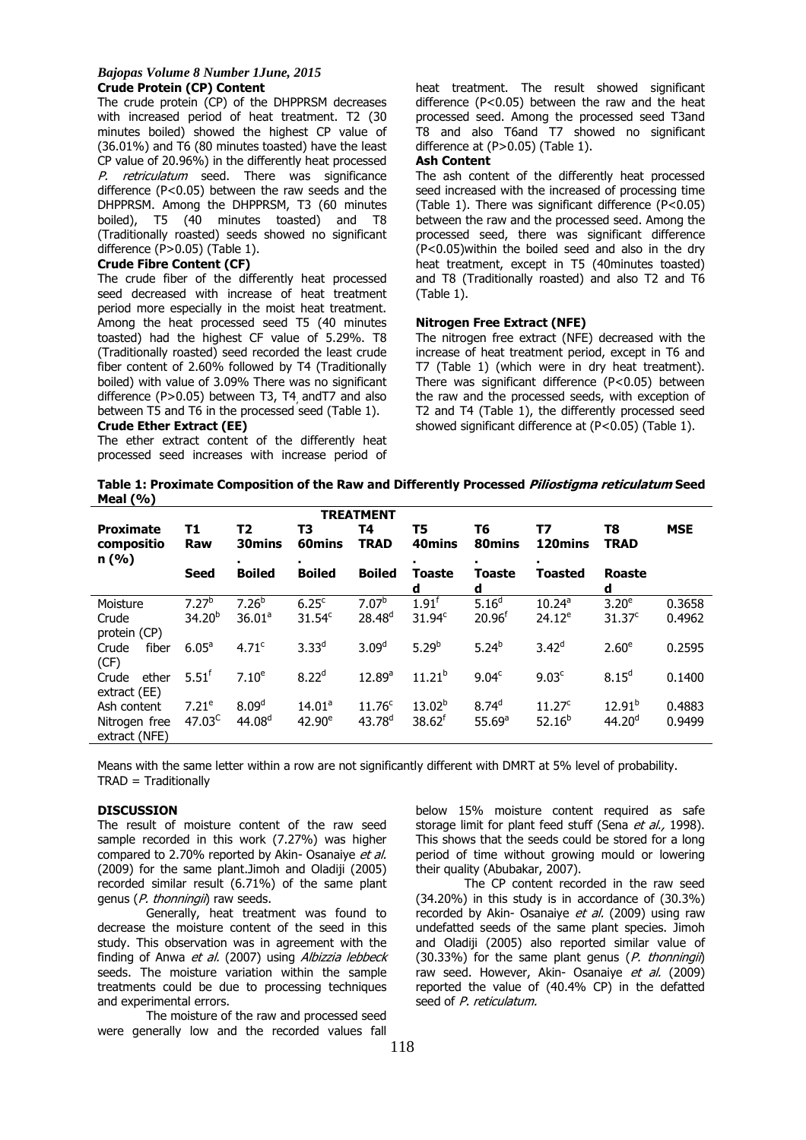#### *Bajopas Volume 8 Number 1June, 2015* **Crude Protein (CP) Content**

The crude protein (CP) of the DHPPRSM decreases with increased period of heat treatment. T2 (30 minutes boiled) showed the highest CP value of (36.01%) and T6 (80 minutes toasted) have the least CP value of 20.96%) in the differently heat processed P. retriculatum seed. There was significance difference (P<0.05) between the raw seeds and the DHPPRSM. Among the DHPPRSM, T3 (60 minutes boiled), T5 (40 minutes toasted) and T8 (Traditionally roasted) seeds showed no significant difference (P>0.05) (Table 1).

### **Crude Fibre Content (CF)**

The crude fiber of the differently heat processed seed decreased with increase of heat treatment period more especially in the moist heat treatment. Among the heat processed seed T5 (40 minutes toasted) had the highest CF value of 5.29%. T8 (Traditionally roasted) seed recorded the least crude fiber content of 2.60% followed by T4 (Traditionally boiled) with value of 3.09% There was no significant difference (P>0.05) between T3, T4 andT7 and also between  $T5$  and  $T6$  in the processed seed (Table 1).

# **Crude Ether Extract (EE)**

The ether extract content of the differently heat processed seed increases with increase period of heat treatment. The result showed significant difference (P<0.05) between the raw and the heat processed seed. Among the processed seed T3and T8 and also T6and T7 showed no significant difference at (P>0.05) (Table 1).

# **Ash Content**

The ash content of the differently heat processed seed increased with the increased of processing time (Table 1). There was significant difference (P<0.05) between the raw and the processed seed. Among the processed seed, there was significant difference (P<0.05)within the boiled seed and also in the dry heat treatment, except in T5 (40minutes toasted) and T8 (Traditionally roasted) and also T2 and T6 (Table 1).

### **Nitrogen Free Extract (NFE)**

The nitrogen free extract (NFE) decreased with the increase of heat treatment period, except in T6 and T7 (Table 1) (which were in dry heat treatment). There was significant difference (P<0.05) between the raw and the processed seeds, with exception of T2 and T4 (Table 1), the differently processed seed showed significant difference at (P<0.05) (Table 1).

**Table 1: Proximate Composition of the Raw and Differently Processed Piliostigma reticulatum Seed Meal (%)** 

| <b>TREATMENT</b>                        |                    |                    |                    |                    |                      |                    |                    |                    |            |
|-----------------------------------------|--------------------|--------------------|--------------------|--------------------|----------------------|--------------------|--------------------|--------------------|------------|
| <b>Proximate</b><br>compositio<br>n (%) | Т1<br><b>Raw</b>   | T2<br>30mins       | T3<br>60mins       | Т4<br><b>TRAD</b>  | T5<br>40mins         | Т6<br>80mins       | Τ7<br>120mins      | T8<br><b>TRAD</b>  | <b>MSE</b> |
|                                         | <b>Seed</b>        | <b>Boiled</b>      | <b>Boiled</b>      | <b>Boiled</b>      | Toaste<br>d          | Toaste<br>d        | Toasted            | <b>Roaste</b><br>d |            |
| Moisture                                | 7.27 <sup>b</sup>  | 7.26 <sup>b</sup>  | 6.25 <sup>c</sup>  | 7.07 <sup>b</sup>  | 1.91 <sup>f</sup>    | 5.16 <sup>d</sup>  | 10.24 <sup>a</sup> | 3.20 <sup>e</sup>  | 0.3658     |
| Crude<br>protein (CP)                   | 34.20 <sup>b</sup> | 36.01 <sup>a</sup> | 31.54 <sup>c</sup> | $28.48^{d}$        | 31.94 <sup>c</sup>   | 20.96 <sup>†</sup> | $24.12^e$          | 31.37 <sup>c</sup> | 0.4962     |
| fiber<br>Crude<br>(CF)                  | $6.05^{\circ}$     | 4.71 <sup>c</sup>  | $3.33^{d}$         | 3.09 <sup>d</sup>  | 5.29 <sup>b</sup>    | $5.24^{b}$         | $3.42^{d}$         | 2.60 <sup>e</sup>  | 0.2595     |
| ether<br>Crude<br>extract (EE)          | $5.51^{\dagger}$   | $7.10^e$           | $8.22^{d}$         | 12.89a             | $11.21^{b}$          | 9.04 <sup>c</sup>  | 9.03 <sup>c</sup>  | 8.15 <sup>d</sup>  | 0.1400     |
| Ash content                             | 7.21 <sup>e</sup>  | 8.09 <sup>d</sup>  | $14.01^a$          | 11.76 <sup>c</sup> | $13.02^{b}$          | $8.74^{d}$         | $11.27^c$          | $12.91^{b}$        | 0.4883     |
| Nitrogen free<br>extract (NFE)          | 47.03 <sup>C</sup> | 44.08 <sup>d</sup> | $42.90^e$          | 43.78 <sup>d</sup> | $38.62$ <sup>f</sup> | 55.69a             | 52.16 <sup>b</sup> | 44.20 <sup>d</sup> | 0.9499     |

Means with the same letter within a row are not significantly different with DMRT at 5% level of probability. TRAD = Traditionally

## **DISCUSSION**

The result of moisture content of the raw seed sample recorded in this work (7.27%) was higher compared to 2.70% reported by Akin-Osanaiye et al. (2009) for the same plant.Jimoh and Oladiji (2005) recorded similar result (6.71%) of the same plant genus (P. thonningii) raw seeds.

Generally, heat treatment was found to decrease the moisture content of the seed in this study. This observation was in agreement with the finding of Anwa et al. (2007) using Albizzia lebbeck seeds. The moisture variation within the sample treatments could be due to processing techniques and experimental errors.

The moisture of the raw and processed seed were generally low and the recorded values fall

below 15% moisture content required as safe storage limit for plant feed stuff (Sena et al., 1998). This shows that the seeds could be stored for a long period of time without growing mould or lowering their quality (Abubakar, 2007).

The CP content recorded in the raw seed (34.20%) in this study is in accordance of (30.3%) recorded by Akin- Osanaiye et al. (2009) using raw undefatted seeds of the same plant species. Jimoh and Oladiji (2005) also reported similar value of  $(30.33%)$  for the same plant genus  $(P, thonnin)$ raw seed. However, Akin- Osanaiye et al. (2009) reported the value of (40.4% CP) in the defatted seed of P. reticulatum.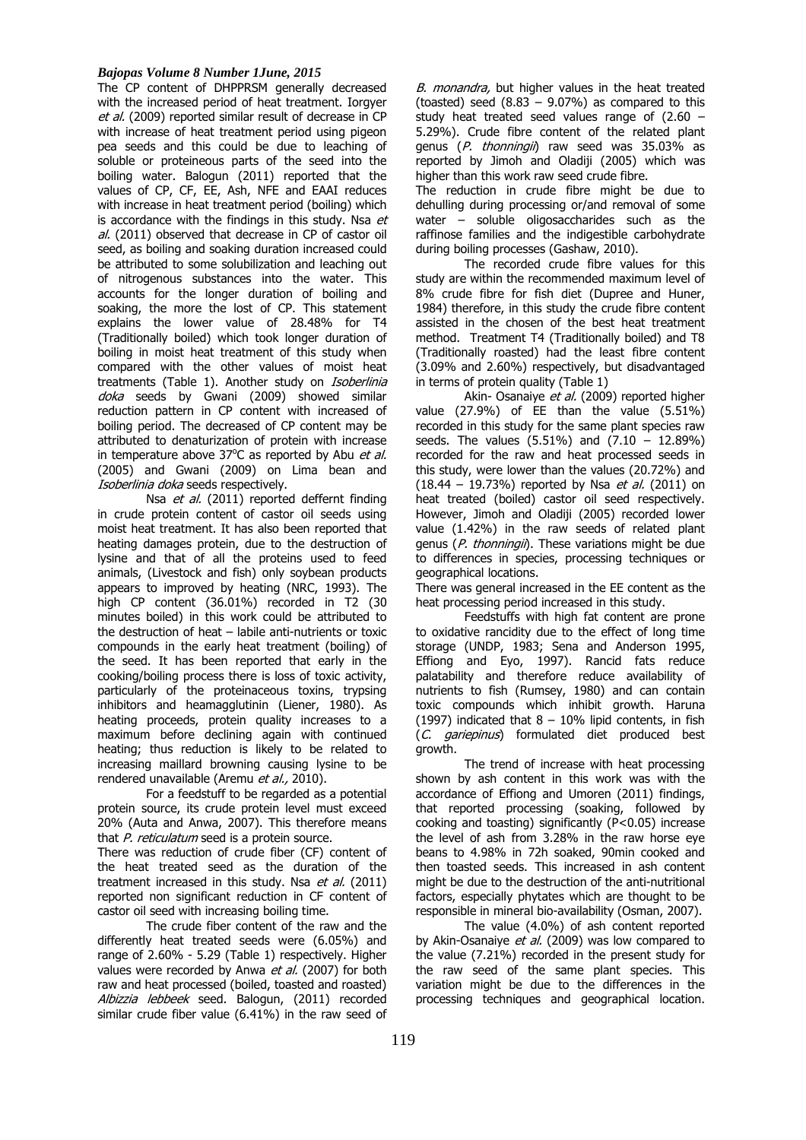### *Bajopas Volume 8 Number 1June, 2015*

The CP content of DHPPRSM generally decreased with the increased period of heat treatment. Iorgyer et al. (2009) reported similar result of decrease in CP with increase of heat treatment period using pigeon pea seeds and this could be due to leaching of soluble or proteineous parts of the seed into the boiling water. Balogun (2011) reported that the values of CP, CF, EE, Ash, NFE and EAAI reduces with increase in heat treatment period (boiling) which is accordance with the findings in this study. Nsa  $et$ al. (2011) observed that decrease in CP of castor oil seed, as boiling and soaking duration increased could be attributed to some solubilization and leaching out of nitrogenous substances into the water. This accounts for the longer duration of boiling and soaking, the more the lost of CP. This statement explains the lower value of 28.48% for T4 (Traditionally boiled) which took longer duration of boiling in moist heat treatment of this study when compared with the other values of moist heat treatments (Table 1). Another study on *Isoberlinia* doka seeds by Gwani (2009) showed similar reduction pattern in CP content with increased of boiling period. The decreased of CP content may be attributed to denaturization of protein with increase in temperature above  $37^{\circ}$ C as reported by Abu *et al.* (2005) and Gwani (2009) on Lima bean and Isoberlinia doka seeds respectively.

Nsa et al. (2011) reported deffernt finding in crude protein content of castor oil seeds using moist heat treatment. It has also been reported that heating damages protein, due to the destruction of lysine and that of all the proteins used to feed animals, (Livestock and fish) only soybean products appears to improved by heating (NRC, 1993). The high CP content (36.01%) recorded in T2 (30 minutes boiled) in this work could be attributed to the destruction of heat – labile anti-nutrients or toxic compounds in the early heat treatment (boiling) of the seed. It has been reported that early in the cooking/boiling process there is loss of toxic activity, particularly of the proteinaceous toxins, trypsing inhibitors and heamagglutinin (Liener, 1980). As heating proceeds, protein quality increases to a maximum before declining again with continued heating; thus reduction is likely to be related to increasing maillard browning causing lysine to be rendered unavailable (Aremu et al., 2010).

For a feedstuff to be regarded as a potential protein source, its crude protein level must exceed 20% (Auta and Anwa, 2007). This therefore means that P. reticulatum seed is a protein source.

There was reduction of crude fiber (CF) content of the heat treated seed as the duration of the treatment increased in this study. Nsa et al. (2011) reported non significant reduction in CF content of castor oil seed with increasing boiling time.

The crude fiber content of the raw and the differently heat treated seeds were (6.05%) and range of 2.60% - 5.29 (Table 1) respectively. Higher values were recorded by Anwa et al. (2007) for both raw and heat processed (boiled, toasted and roasted) Albizzia lebbeek seed. Balogun, (2011) recorded similar crude fiber value (6.41%) in the raw seed of

B. monandra, but higher values in the heat treated (toasted) seed  $(8.83 - 9.07%)$  as compared to this study heat treated seed values range of  $(2.60 -$ 5.29%). Crude fibre content of the related plant genus (P. thonningii) raw seed was 35.03% as reported by Jimoh and Oladiji (2005) which was higher than this work raw seed crude fibre.

The reduction in crude fibre might be due to dehulling during processing or/and removal of some water – soluble oligosaccharides such as the raffinose families and the indigestible carbohydrate during boiling processes (Gashaw, 2010).

The recorded crude fibre values for this study are within the recommended maximum level of 8% crude fibre for fish diet (Dupree and Huner, 1984) therefore, in this study the crude fibre content assisted in the chosen of the best heat treatment method. Treatment T4 (Traditionally boiled) and T8 (Traditionally roasted) had the least fibre content (3.09% and 2.60%) respectively, but disadvantaged in terms of protein quality (Table 1)

Akin- Osanaiye et al. (2009) reported higher value (27.9%) of EE than the value (5.51%) recorded in this study for the same plant species raw seeds. The values (5.51%) and (7.10 – 12.89%) recorded for the raw and heat processed seeds in this study, were lower than the values (20.72%) and  $(18.44 - 19.73%)$  reported by Nsa *et al.*  $(2011)$  on heat treated (boiled) castor oil seed respectively. However, Jimoh and Oladiji (2005) recorded lower value (1.42%) in the raw seeds of related plant genus (P. thonningii). These variations might be due to differences in species, processing techniques or geographical locations.

There was general increased in the EE content as the heat processing period increased in this study.

Feedstuffs with high fat content are prone to oxidative rancidity due to the effect of long time storage (UNDP, 1983; Sena and Anderson 1995, Effiong and Eyo, 1997). Rancid fats reduce palatability and therefore reduce availability of nutrients to fish (Rumsey, 1980) and can contain toxic compounds which inhibit growth. Haruna (1997) indicated that  $8 - 10\%$  lipid contents, in fish (C. gariepinus) formulated diet produced best growth.

The trend of increase with heat processing shown by ash content in this work was with the accordance of Effiong and Umoren (2011) findings, that reported processing (soaking, followed by cooking and toasting) significantly (P<0.05) increase the level of ash from 3.28% in the raw horse eye beans to 4.98% in 72h soaked, 90min cooked and then toasted seeds. This increased in ash content might be due to the destruction of the anti-nutritional factors, especially phytates which are thought to be responsible in mineral bio-availability (Osman, 2007).

The value (4.0%) of ash content reported by Akin-Osanaiye et al. (2009) was low compared to the value (7.21%) recorded in the present study for the raw seed of the same plant species. This variation might be due to the differences in the processing techniques and geographical location.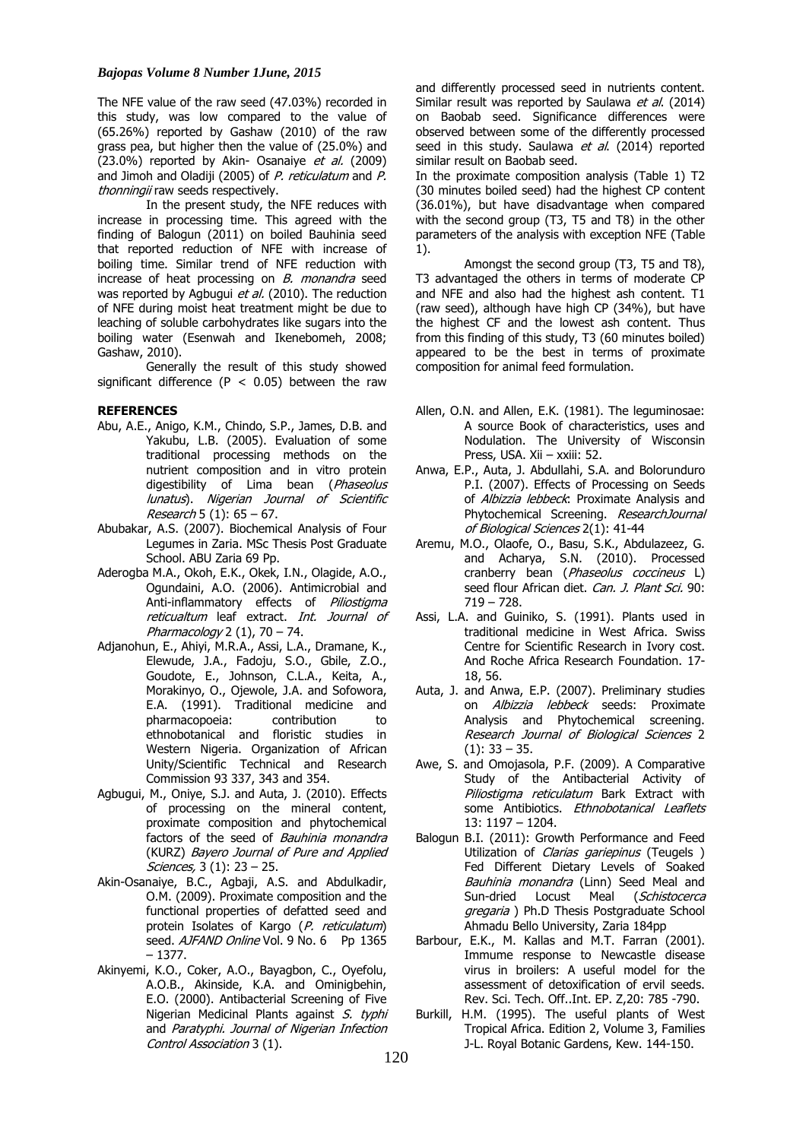The NFE value of the raw seed (47.03%) recorded in this study, was low compared to the value of (65.26%) reported by Gashaw (2010) of the raw grass pea, but higher then the value of (25.0%) and (23.0%) reported by Akin- Osanaiye et al. (2009) and Jimoh and Oladiji (2005) of P. reticulatum and P. thonningii raw seeds respectively.

In the present study, the NFE reduces with increase in processing time. This agreed with the finding of Balogun (2011) on boiled Bauhinia seed that reported reduction of NFE with increase of boiling time. Similar trend of NFE reduction with increase of heat processing on  $B$ . monandra seed was reported by Agbugui et al. (2010). The reduction of NFE during moist heat treatment might be due to leaching of soluble carbohydrates like sugars into the boiling water (Esenwah and Ikenebomeh, 2008; Gashaw, 2010).

Generally the result of this study showed significant difference ( $P < 0.05$ ) between the raw

# **REFERENCES**

- Abu, A.E., Anigo, K.M., Chindo, S.P., James, D.B. and Yakubu, L.B. (2005). Evaluation of some traditional processing methods on the nutrient composition and in vitro protein digestibility of Lima bean (Phaseolus lunatus). Nigerian Journal of Scientific Research 5 (1):  $65 - 67$ .
- Abubakar, A.S. (2007). Biochemical Analysis of Four Legumes in Zaria. MSc Thesis Post Graduate School. ABU Zaria 69 Pp.
- Aderogba M.A., Okoh, E.K., Okek, I.N., Olagide, A.O., Ogundaini, A.O. (2006). Antimicrobial and Anti-inflammatory effects of *Piliostigma* reticualtum leaf extract. Int. Journal of Pharmacology  $2(1)$ ,  $70 - 74$ .
- Adjanohun, E., Ahiyi, M.R.A., Assi, L.A., Dramane, K., Elewude, J.A., Fadoju, S.O., Gbile, Z.O., Goudote, E., Johnson, C.L.A., Keita, A., Morakinyo, O., Ojewole, J.A. and Sofowora, E.A. (1991). Traditional medicine and pharmacopoeia: contribution to ethnobotanical and floristic studies in Western Nigeria. Organization of African Unity/Scientific Technical and Research Commission 93 337, 343 and 354.
- Agbugui, M., Oniye, S.J. and Auta, J. (2010). Effects of processing on the mineral content, proximate composition and phytochemical factors of the seed of Bauhinia monandra (KURZ) Bayero Journal of Pure and Applied Sciences, 3 (1): 23 - 25.
- Akin-Osanaiye, B.C., Agbaji, A.S. and Abdulkadir, O.M. (2009). Proximate composition and the functional properties of defatted seed and protein Isolates of Kargo (P. reticulatum) seed. AJFAND Online Vol. 9 No. 6 Pp 1365 – 1377.
- Akinyemi, K.O., Coker, A.O., Bayagbon, C., Oyefolu, A.O.B., Akinside, K.A. and Ominigbehin, E.O. (2000). Antibacterial Screening of Five Nigerian Medicinal Plants against S. typhi and Paratyphi. Journal of Nigerian Infection Control Association 3 (1).

and differently processed seed in nutrients content. Similar result was reported by Saulawa et al. (2014) on Baobab seed. Significance differences were observed between some of the differently processed seed in this study. Saulawa et al. (2014) reported similar result on Baobab seed.

In the proximate composition analysis (Table 1) T2 (30 minutes boiled seed) had the highest CP content (36.01%), but have disadvantage when compared with the second group (T3, T5 and T8) in the other parameters of the analysis with exception NFE (Table 1).

Amongst the second group (T3, T5 and T8), T3 advantaged the others in terms of moderate CP and NFE and also had the highest ash content. T1 (raw seed), although have high CP (34%), but have the highest CF and the lowest ash content. Thus from this finding of this study, T3 (60 minutes boiled) appeared to be the best in terms of proximate composition for animal feed formulation.

- Allen, O.N. and Allen, E.K. (1981). The leguminosae: A source Book of characteristics, uses and Nodulation. The University of Wisconsin Press, USA. Xii – xxiii: 52.
- Anwa, E.P., Auta, J. Abdullahi, S.A. and Bolorunduro P.I. (2007). Effects of Processing on Seeds of *Albizzia lebbeck*: Proximate Analysis and Phytochemical Screening. ResearchJournal of Biological Sciences 2(1): 41-44
- Aremu, M.O., Olaofe, O., Basu, S.K., Abdulazeez, G. and Acharya, S.N. (2010). Processed cranberry bean (Phaseolus coccineus L) seed flour African diet. Can. J. Plant Sci. 90: 719 – 728.
- Assi, L.A. and Guiniko, S. (1991). Plants used in traditional medicine in West Africa. Swiss Centre for Scientific Research in Ivory cost. And Roche Africa Research Foundation. 17- 18, 56.
- Auta, J. and Anwa, E.P. (2007). Preliminary studies on *Albizzia lebbeck* seeds: Proximate Analysis and Phytochemical screening. Research Journal of Biological Sciences 2  $(1): 33 - 35.$
- Awe, S. and Omojasola, P.F. (2009). A Comparative Study of the Antibacterial Activity of Piliostigma reticulatum Bark Extract with some Antibiotics. Ethnobotanical Leaflets 13: 1197 – 1204.
- Balogun B.I. (2011): Growth Performance and Feed Utilization of Clarias gariepinus (Teugels) Fed Different Dietary Levels of Soaked Bauhinia monandra (Linn) Seed Meal and Sun-dried Locust Meal (Schistocerca gregaria) Ph.D Thesis Postgraduate School Ahmadu Bello University, Zaria 184pp
- Barbour, E.K., M. Kallas and M.T. Farran (2001). Immume response to Newcastle disease virus in broilers: A useful model for the assessment of detoxification of ervil seeds. Rev. Sci. Tech. Off..Int. EP. Z,20: 785 -790.
- Burkill, H.M. (1995). The useful plants of West Tropical Africa. Edition 2, Volume 3, Families J-L. Royal Botanic Gardens, Kew. 144-150.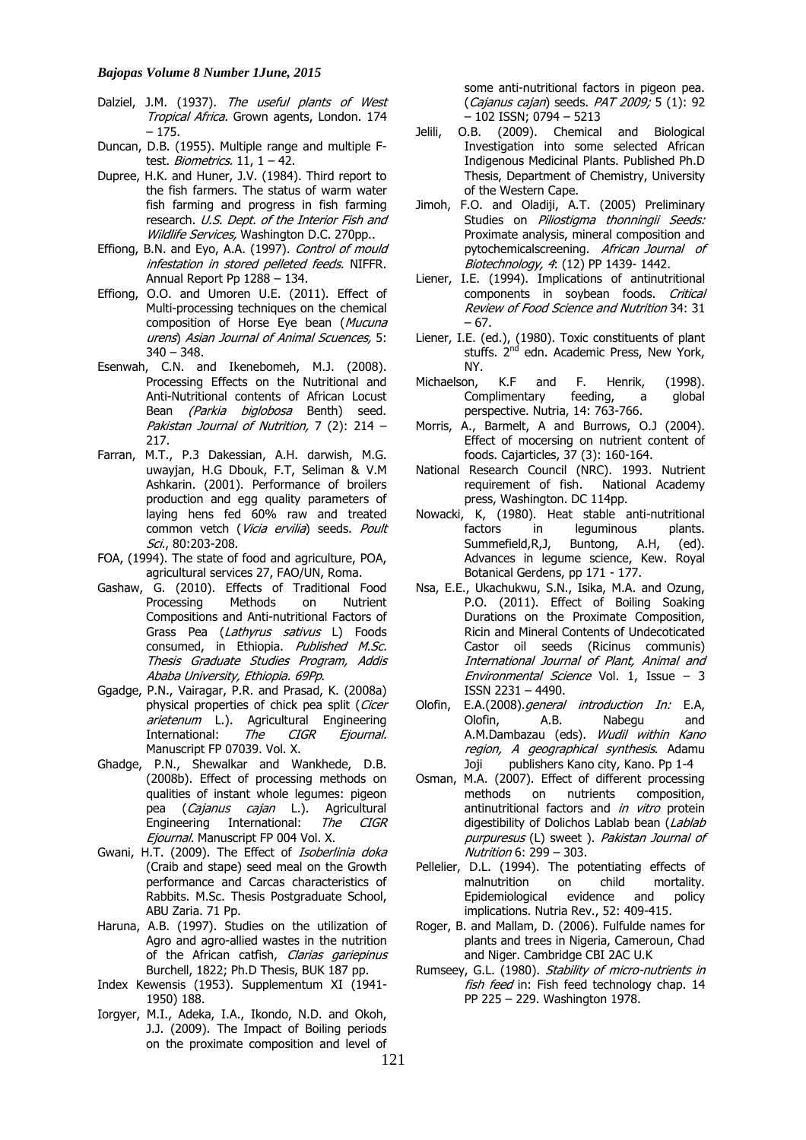- Dalziel, J.M. (1937). The useful plants of West Tropical Africa. Grown agents, London. 174 – 175.
- Duncan, D.B. (1955). Multiple range and multiple Ftest. Biometrics.  $11, 1 - 42$ .
- Dupree, H.K. and Huner, J.V. (1984). Third report to the fish farmers. The status of warm water fish farming and progress in fish farming research. U.S. Dept. of the Interior Fish and Wildlife Services, Washington D.C. 270pp..
- Effiong, B.N. and Eyo, A.A. (1997). Control of mould infestation in stored pelleted feeds. NIFFR. Annual Report Pp 1288 – 134.
- Effiong, O.O. and Umoren U.E. (2011). Effect of Multi-processing techniques on the chemical composition of Horse Eye bean (Mucuna urens) Asian Journal of Animal Scuences, 5:  $340 - 348.$
- Esenwah, C.N. and Ikenebomeh, M.J. (2008). Processing Effects on the Nutritional and Anti-Nutritional contents of African Locust Bean (Parkia biglobosa Benth) seed. Pakistan Journal of Nutrition, 7 (2): 214 – 217.
- Farran, M.T., P.3 Dakessian, A.H. darwish, M.G. uwayjan, H.G Dbouk, F.T, Seliman & V.M Ashkarin. (2001). Performance of broilers production and egg quality parameters of laying hens fed 60% raw and treated common vetch (Vicia ervilia) seeds. Poult Sci., 80:203-208.
- FOA, (1994). The state of food and agriculture, POA, agricultural services 27, FAO/UN, Roma.
- Gashaw, G. (2010). Effects of Traditional Food Processing Methods on Nutrient Compositions and Anti-nutritional Factors of Grass Pea (Lathyrus sativus L) Foods consumed, in Ethiopia. Published M.Sc. Thesis Graduate Studies Program, Addis Ababa University, Ethiopia. 69Pp.
- Ggadge, P.N., Vairagar, P.R. and Prasad, K. (2008a) physical properties of chick pea split (Cicer arietenum L.). Agricultural Engineering International: The CIGR Ejournal. Manuscript FP 07039. Vol. X.
- Ghadge, P.N., Shewalkar and Wankhede, D.B. (2008b). Effect of processing methods on qualities of instant whole legumes: pigeon pea (Cajanus cajan L.). Agricultural Engineering International: The CIGR Ejournal. Manuscript FP 004 Vol. X.
- Gwani, H.T. (2009). The Effect of Isoberlinia doka (Craib and stape) seed meal on the Growth performance and Carcas characteristics of Rabbits. M.Sc. Thesis Postgraduate School, ABU Zaria. 71 Pp.
- Haruna, A.B. (1997). Studies on the utilization of Agro and agro-allied wastes in the nutrition of the African catfish, Clarias gariepinus Burchell, 1822; Ph.D Thesis, BUK 187 pp.
- Index Kewensis (1953). Supplementum XI (1941- 1950) 188.
- Iorgyer, M.I., Adeka, I.A., Ikondo, N.D. and Okoh, J.J. (2009). The Impact of Boiling periods on the proximate composition and level of

some anti-nutritional factors in pigeon pea. (Cajanus cajan) seeds. PAT 2009; 5 (1): 92 – 102 ISSN; 0794 – 5213

- Jelili, O.B. (2009). Chemical and Biological Investigation into some selected African Indigenous Medicinal Plants. Published Ph.D Thesis, Department of Chemistry, University of the Western Cape.
- Jimoh, F.O. and Oladiji, A.T. (2005) Preliminary Studies on Piliostigma thonningii Seeds: Proximate analysis, mineral composition and pytochemicalscreening. African Journal of Biotechnology, 4: (12) PP 1439- 1442.
- Liener, I.E. (1994). Implications of antinutritional components in soybean foods. Critical Review of Food Science and Nutrition 34: 31 – 67.
- Liener, I.E. (ed.), (1980). Toxic constituents of plant stuffs. 2<sup>nd</sup> edn. Academic Press, New York, NY.
- Michaelson, K.F and F. Henrik, (1998). Complimentary feeding, a global perspective. Nutria, 14: 763-766.
- Morris, A., Barmelt, A and Burrows, O.J (2004). Effect of mocersing on nutrient content of foods. Cajarticles, 37 (3): 160-164.
- National Research Council (NRC). 1993. Nutrient requirement of fish. National Academy press, Washington. DC 114pp.
- Nowacki, K, (1980). Heat stable anti-nutritional factors in leguminous Summefield,R,J, Buntong, A.H, (ed). Advances in legume science, Kew. Royal Botanical Gerdens, pp 171 - 177.
- Nsa, E.E., Ukachukwu, S.N., Isika, M.A. and Ozung, P.O. (2011). Effect of Boiling Soaking Durations on the Proximate Composition, Ricin and Mineral Contents of Undecoticated Castor oil seeds (Ricinus communis) International Journal of Plant, Animal and Environmental Science Vol. 1, Issue – 3 ISSN 2231 – 4490.
- Olofin, E.A.(2008).general introduction In: E.A, Olofin, A.B. Nabegu and A.M.Dambazau (eds). Wudil within Kano region, A geographical synthesis. Adamu Joji publishers Kano city, Kano. Pp 1-4
- Osman, M.A. (2007). Effect of different processing methods on nutrients composition, antinutritional factors and in vitro protein digestibility of Dolichos Lablab bean (Lablab purpuresus (L) sweet ). Pakistan Journal of Nutrition 6: 299 – 303.
- Pellelier, D.L. (1994). The potentiating effects of<br>malnutrition on child mortality. malnutrition on child mortality. Epidemiological evidence and policy implications. Nutria Rev., 52: 409-415.
- Roger, B. and Mallam, D. (2006). Fulfulde names for plants and trees in Nigeria, Cameroun, Chad and Niger. Cambridge CBI 2AC U.K
- Rumseey, G.L. (1980). Stability of micro-nutrients in fish feed in: Fish feed technology chap. 14 PP 225 – 229. Washington 1978.